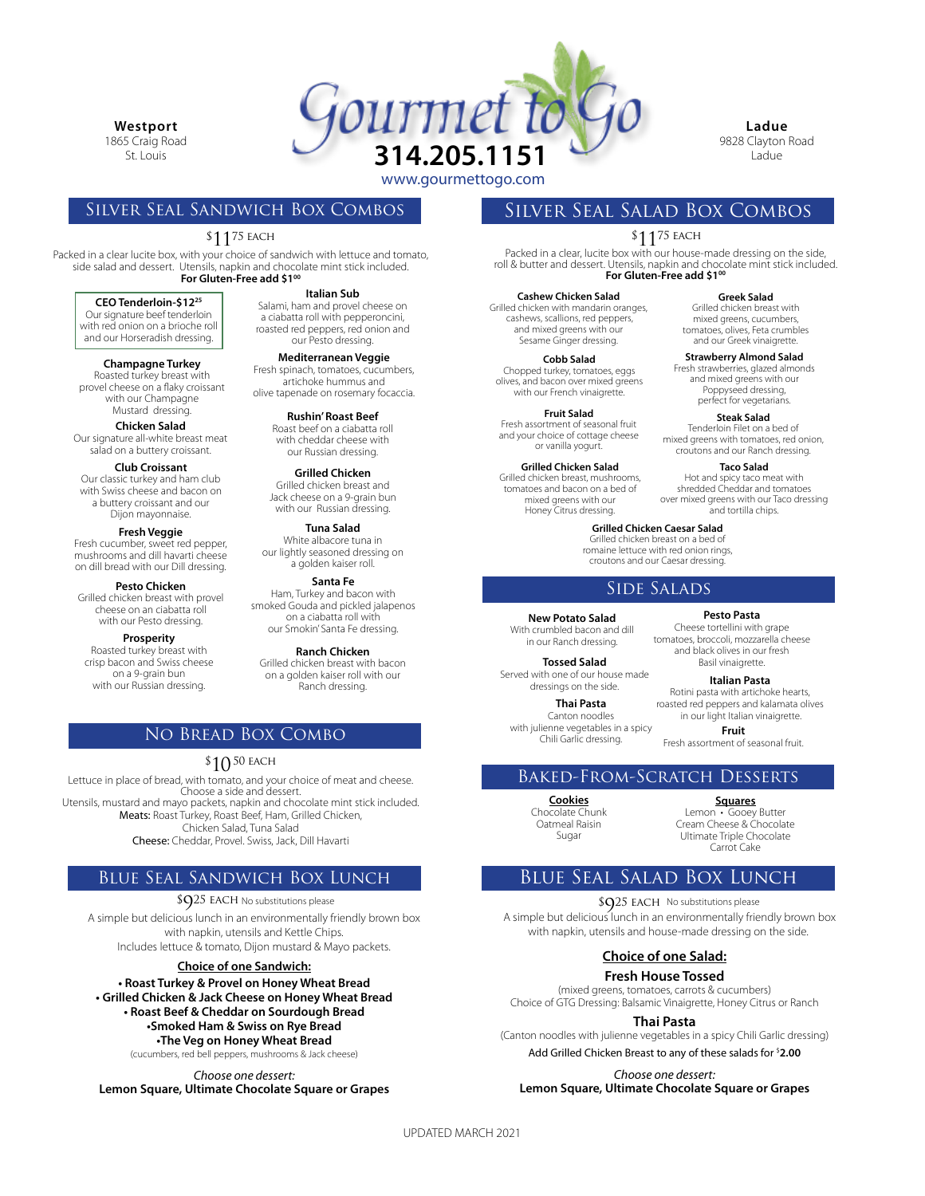**Westport**

1865 Craig Road St. Louis



**Ladue** 9828 Clayton Road Ladue

**Greek Salad** Grilled chicken breast with mixed greens, cucumbers, tomatoes, olives, Feta crumbles and our Greek vinaigrette.

**Strawberry Almond Salad** Fresh strawberries, glazed almonds and mixed greens with our Poppyseed dressing, perfect for vegetarians.

**Taco Salad** Hot and spicy taco meat with shredded Cheddar and tomatoes over mixed greens with our Taco dressing and tortilla chips.

**Steak Salad** Tenderloin Filet on a bed of mixed greens with tomatoes, red onion, croutons and our Ranch dressing.

## Silver Seal Sandwich Box Combos

## $\$11^{75}$  each

Packed in a clear lucite box, with your choice of sandwich with lettuce and tomato, side salad and dessert. Utensils, napkin and chocolate mint stick included. For Gluten-Free add \$1<sup>00</sup>

#### **CEO Tenderloin-\$1225**

Our signature beef tenderloin with red onion on a brioche roll and our Horseradish dressing.

**Champagne Turkey** Roasted turkey breast with provel cheese on a flaky croissant with our Champagne Mustard dressing.

**Chicken Salad** Our signature all-white breast meat salad on a buttery croissant.

#### **Club Croissant**

Our classic turkey and ham club with Swiss cheese and bacon on a buttery croissant and our Dijon mayonnaise.

**Fresh Veggie** Fresh cucumber, sweet red pepper, mushrooms and dill havarti cheese

on dill bread with our Dill dressing. **Pesto Chicken** Grilled chicken breast with provel

cheese on an ciabatta roll with our Pesto dressing.

Roasted turkey breast with crisp bacon and Swiss cheese on a 9-grain bun with our Russian dressing.

**Italian Sub** Salami, ham and provel cheese on a ciabatta roll with pepperoncini, roasted red peppers, red onion and our Pesto dressing.

**Mediterranean Veggie** Fresh spinach, tomatoes, cucumbers, artichoke hummus and olive tapenade on rosemary focaccia.

**Rushin' Roast Beef** Roast beef on a ciabatta roll with cheddar cheese with our Russian dressing.

**Grilled Chicken** Grilled chicken breast and Jack cheese on a 9-grain bun with our Russian dressing.

**Tuna Salad** White albacore tuna in our lightly seasoned dressing on a golden kaiser roll.

**Santa Fe** Ham, Turkey and bacon with smoked Gouda and pickled jalapenos on a ciabatta roll with our Smokin' Santa Fe dressing. **Prosperity**

> **Ranch Chicken** Grilled chicken breast with bacon on a golden kaiser roll with our Ranch dressing.

## No Bread Box Combo

## $\$10$   $^{\rm 50}$  each

Lettuce in place of bread, with tomato, and your choice of meat and cheese. Choose a side and dessert. Utensils, mustard and mayo packets, napkin and chocolate mint stick included. Meats: Roast Turkey, Roast Beef, Ham, Grilled Chicken, Chicken Salad, Tuna Salad Cheese: Cheddar, Provel. Swiss, Jack, Dill Havarti

## Blue Seal Sandwich Box Lunch

 $$925$  EACH No substitutions please

A simple but delicious lunch in an environmentally friendly brown box with napkin, utensils and Kettle Chips. Includes lettuce & tomato, Dijon mustard & Mayo packets.

#### **Choice of one Sandwich:**

**• Roast Turkey & Provel on Honey Wheat Bread • Grilled Chicken & Jack Cheese on Honey Wheat Bread • Roast Beef & Cheddar on Sourdough Bread •Smoked Ham & Swiss on Rye Bread •The Veg on Honey Wheat Bread** (cucumbers, red bell peppers, mushrooms & Jack cheese)

*Choose one dessert:* **Lemon Square, Ultimate Chocolate Square or Grapes** Silver Seal Salad Box Combos

# $\$11^{75}$  each

Packed in a clear, lucite box with our house-made dressing on the side, roll & butter and dessert. Utensils, napkin and chocolate mint stick included. For Gluten-Free add \$1<sup>00</sup>

**Cashew Chicken Salad** Grilled chicken with mandarin oranges, cashews, scallions, red peppers, and mixed greens with our Sesame Ginger dressing.

**Cobb Salad** Chopped turkey, tomatoes, eggs olives, and bacon over mixed greens with our French vinaigrette.

**Fruit Salad** Fresh assortment of seasonal fruit and your choice of cottage cheese or vanilla yogurt.

**Grilled Chicken Salad** Grilled chicken breast, mushrooms,

tomatoes and bacon on a bed of mixed greens with our Honey Citrus dressing.

> **Grilled Chicken Caesar Salad** Grilled chicken breast on a bed of

romaine lettuce with red onion rings, croutons and our Caesar dressing.

## Side Salads

**New Potato Salad**

With crumbled bacon and dill in our Ranch dressing.

**Tossed Salad** Served with one of our house made dressings on the side.

> **Thai Pasta** Canton noodles

with julienne vegetables in a spicy Chili Garlic dressing.

**Italian Pasta** Rotini pasta with artichoke hearts, roasted red peppers and kalamata olives in our light Italian vinaigrette. Basil vinaigrette.

**Pesto Pasta** Cheese tortellini with grape tomatoes, broccoli, mozzarella cheese and black olives in our fresh

**Fruit** Fresh assortment of seasonal fruit.

## Baked-From-Scratch Desserts

**Cookies** Chocolate Chunk Oatmeal Raisin Sugar

**Squares** Lemon • Gooey Butter Cream Cheese & Chocolate Ultimate Triple Chocolate

Carrot Cake

## Blue Seal Salad Box Lunch

\$Q25 EACH No substitutions please

A simple but delicious lunch in an environmentally friendly brown box with napkin, utensils and house-made dressing on the side.

## **Choice of one Salad:**

**Fresh House Tossed**

(mixed greens, tomatoes, carrots & cucumbers) Choice of GTG Dressing: Balsamic Vinaigrette, Honey Citrus or Ranch

### **Thai Pasta**

(Canton noodles with julienne vegetables in a spicy Chili Garlic dressing) Add Grilled Chicken Breast to any of these salads for \$ **2.00**

*Choose one dessert:* **Lemon Square, Ultimate Chocolate Square or Grapes**